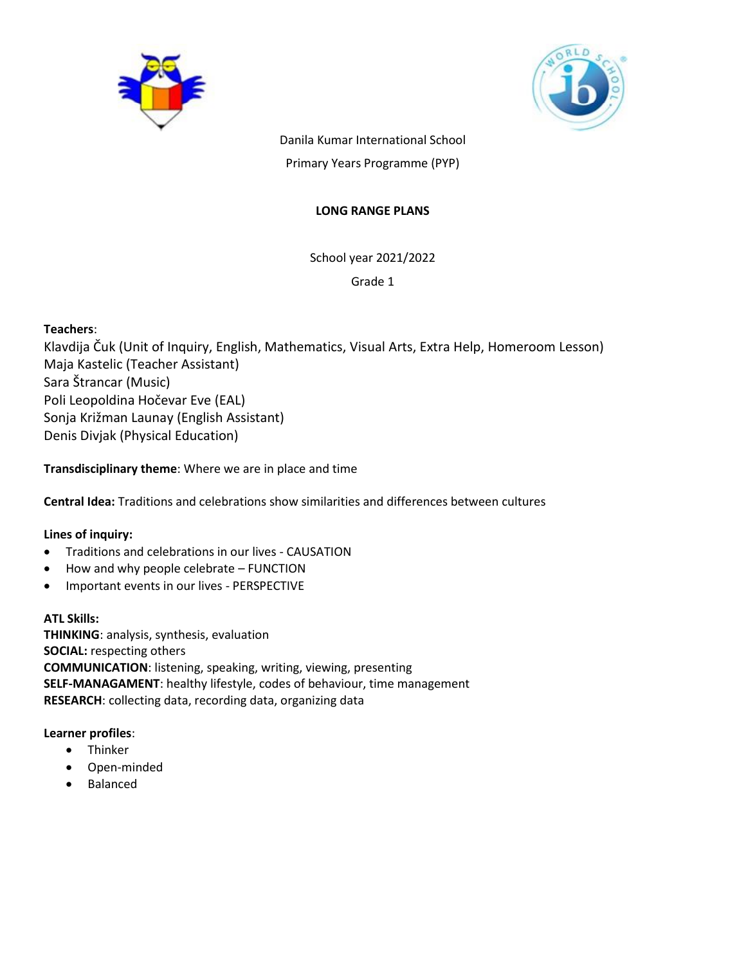



Danila Kumar International School Primary Years Programme (PYP)

# **LONG RANGE PLANS**

School year 2021/2022 Grade 1

# **Teachers**:

Klavdija Čuk (Unit of Inquiry, English, Mathematics, Visual Arts, Extra Help, Homeroom Lesson) Maja Kastelic (Teacher Assistant) Sara Štrancar (Music) Poli Leopoldina Hočevar Eve (EAL) Sonja Križman Launay (English Assistant) Denis Divjak (Physical Education)

**Transdisciplinary theme**: Where we are in place and time

**Central Idea:** Traditions and celebrations show similarities and differences between cultures

# **Lines of inquiry:**

- Traditions and celebrations in our lives CAUSATION
- How and why people celebrate FUNCTION
- Important events in our lives PERSPECTIVE

# **ATL Skills:**

**THINKING**: analysis, synthesis, evaluation **SOCIAL:** respecting others **COMMUNICATION**: listening, speaking, writing, viewing, presenting **SELF-MANAGAMENT**: healthy lifestyle, codes of behaviour, time management **RESEARCH**: collecting data, recording data, organizing data

# **Learner profiles**:

- Thinker
- Open-minded
- Balanced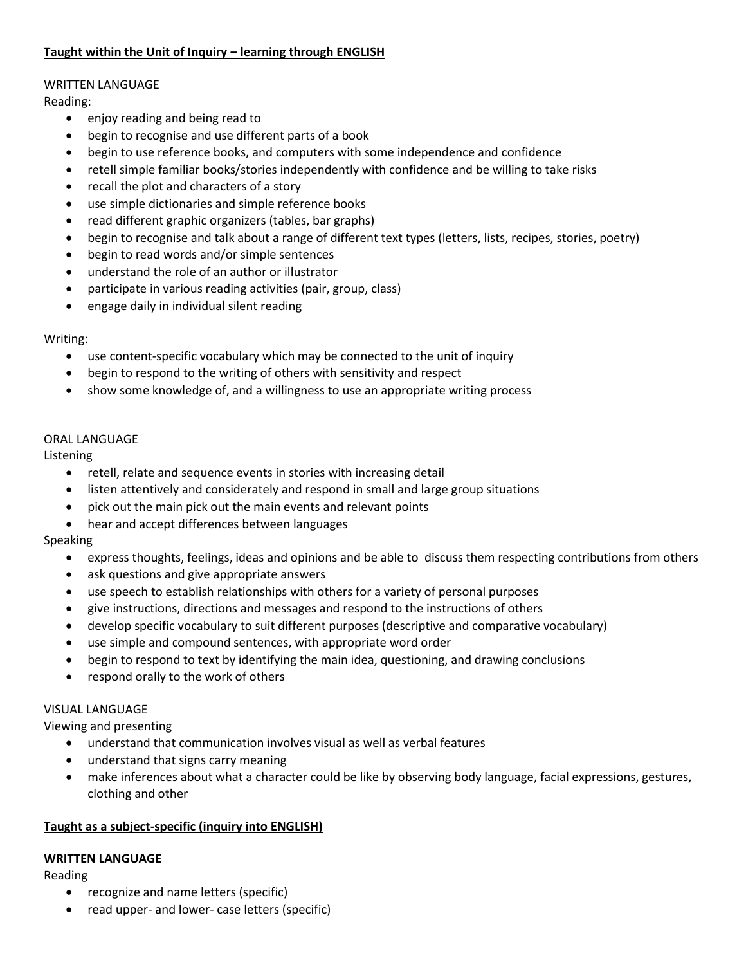# **Taught within the Unit of Inquiry – learning through ENGLISH**

# WRITTEN LANGUAGE

Reading:

- enjoy reading and being read to
- begin to recognise and use different parts of a book
- begin to use reference books, and computers with some independence and confidence
- retell simple familiar books/stories independently with confidence and be willing to take risks
- recall the plot and characters of a story
- use simple dictionaries and simple reference books
- read different graphic organizers (tables, bar graphs)
- begin to recognise and talk about a range of different text types (letters, lists, recipes, stories, poetry)
- begin to read words and/or simple sentences
- understand the role of an author or illustrator
- participate in various reading activities (pair, group, class)
- engage daily in individual silent reading

# Writing:

- use content-specific vocabulary which may be connected to the unit of inquiry
- begin to respond to the writing of others with sensitivity and respect
- show some knowledge of, and a willingness to use an appropriate writing process

# ORAL LANGUAGE

Listening

- retell, relate and sequence events in stories with increasing detail
- listen attentively and considerately and respond in small and large group situations
- pick out the main pick out the main events and relevant points
- hear and accept differences between languages

# Speaking

- express thoughts, feelings, ideas and opinions and be able to discuss them respecting contributions from others
- ask questions and give appropriate answers
- use speech to establish relationships with others for a variety of personal purposes
- give instructions, directions and messages and respond to the instructions of others
- develop specific vocabulary to suit different purposes (descriptive and comparative vocabulary)
- use simple and compound sentences, with appropriate word order
- begin to respond to text by identifying the main idea, questioning, and drawing conclusions
- respond orally to the work of others

# VISUAL LANGUAGE

Viewing and presenting

- understand that communication involves visual as well as verbal features
- understand that signs carry meaning
- make inferences about what a character could be like by observing body language, facial expressions, gestures, clothing and other

# **Taught as a subject-specific (inquiry into ENGLISH)**

# **WRITTEN LANGUAGE**

Reading

- recognize and name letters (specific)
- read upper- and lower- case letters (specific)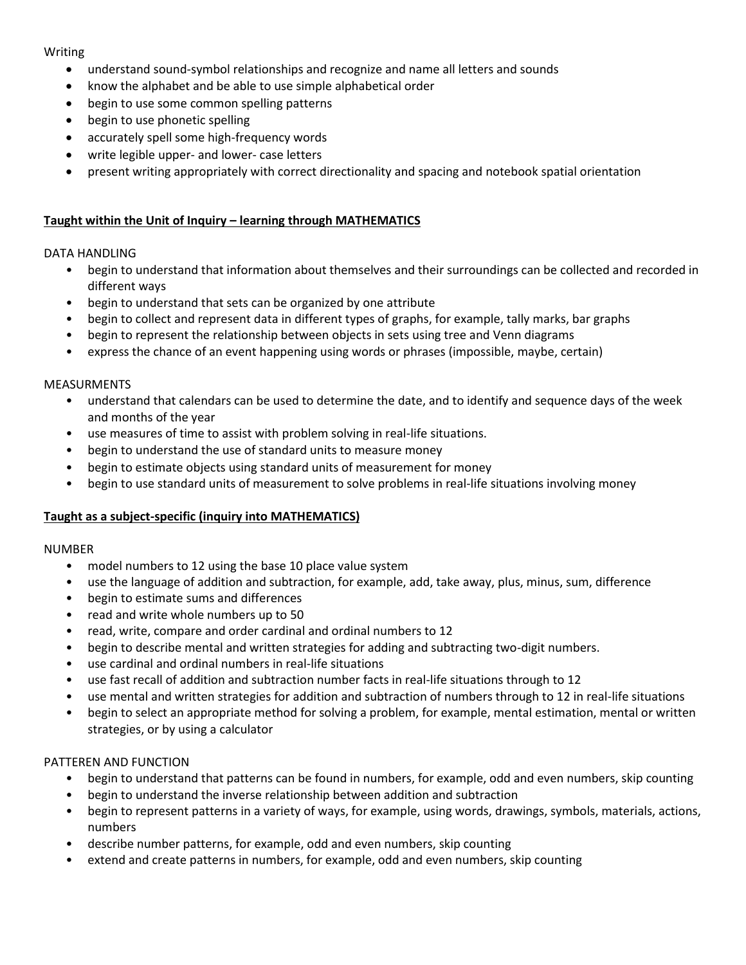# **Writing**

- understand sound-symbol relationships and recognize and name all letters and sounds
- know the alphabet and be able to use simple alphabetical order
- begin to use some common spelling patterns
- begin to use phonetic spelling
- accurately spell some high-frequency words
- write legible upper- and lower- case letters
- present writing appropriately with correct directionality and spacing and notebook spatial orientation

# **Taught within the Unit of Inquiry – learning through MATHEMATICS**

#### DATA HANDLING

- begin to understand that information about themselves and their surroundings can be collected and recorded in different ways
- begin to understand that sets can be organized by one attribute
- begin to collect and represent data in different types of graphs, for example, tally marks, bar graphs
- begin to represent the relationship between objects in sets using tree and Venn diagrams
- express the chance of an event happening using words or phrases (impossible, maybe, certain)

#### MEASURMENTS

- understand that calendars can be used to determine the date, and to identify and sequence days of the week and months of the year
- use measures of time to assist with problem solving in real-life situations.
- begin to understand the use of standard units to measure money
- begin to estimate objects using standard units of measurement for money
- begin to use standard units of measurement to solve problems in real-life situations involving money

# **Taught as a subject-specific (inquiry into MATHEMATICS)**

#### NUMBER

- model numbers to 12 using the base 10 place value system
- use the language of addition and subtraction, for example, add, take away, plus, minus, sum, difference
- begin to estimate sums and differences
- read and write whole numbers up to 50
- read, write, compare and order cardinal and ordinal numbers to 12
- begin to describe mental and written strategies for adding and subtracting two-digit numbers.
- use cardinal and ordinal numbers in real-life situations
- use fast recall of addition and subtraction number facts in real-life situations through to 12
- use mental and written strategies for addition and subtraction of numbers through to 12 in real-life situations
- begin to select an appropriate method for solving a problem, for example, mental estimation, mental or written strategies, or by using a calculator

# PATTEREN AND FUNCTION

- begin to understand that patterns can be found in numbers, for example, odd and even numbers, skip counting
- begin to understand the inverse relationship between addition and subtraction
- begin to represent patterns in a variety of ways, for example, using words, drawings, symbols, materials, actions, numbers
- describe number patterns, for example, odd and even numbers, skip counting
- extend and create patterns in numbers, for example, odd and even numbers, skip counting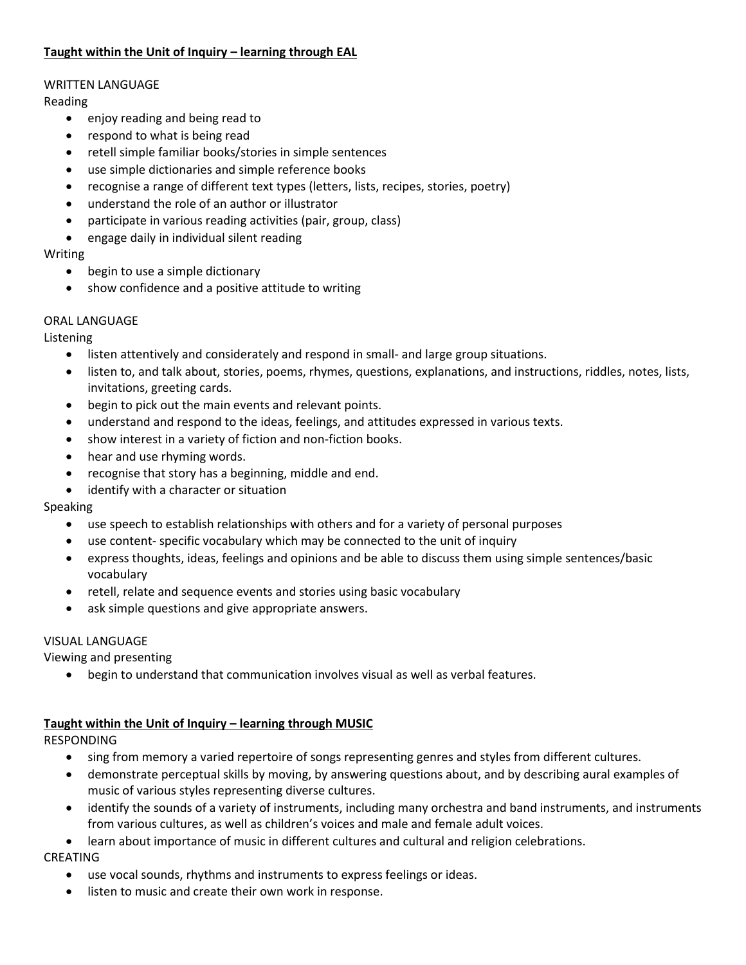# **Taught within the Unit of Inquiry – learning through EAL**

# WRITTEN LANGUAGE

Reading

- enjoy reading and being read to
- respond to what is being read
- retell simple familiar books/stories in simple sentences
- use simple dictionaries and simple reference books
- recognise a range of different text types (letters, lists, recipes, stories, poetry)
- understand the role of an author or illustrator
- participate in various reading activities (pair, group, class)
- engage daily in individual silent reading

# Writing

- begin to use a simple dictionary
- show confidence and a positive attitude to writing

# ORAL LANGUAGE

Listening

- listen attentively and considerately and respond in small- and large group situations.
- listen to, and talk about, stories, poems, rhymes, questions, explanations, and instructions, riddles, notes, lists, invitations, greeting cards.
- begin to pick out the main events and relevant points.
- understand and respond to the ideas, feelings, and attitudes expressed in various texts.
- show interest in a variety of fiction and non-fiction books.
- hear and use rhyming words.
- recognise that story has a beginning, middle and end.
- identify with a character or situation

# Speaking

- use speech to establish relationships with others and for a variety of personal purposes
- use content- specific vocabulary which may be connected to the unit of inquiry
- express thoughts, ideas, feelings and opinions and be able to discuss them using simple sentences/basic vocabulary
- retell, relate and sequence events and stories using basic vocabulary
- ask simple questions and give appropriate answers.

# VISUAL LANGUAGE

Viewing and presenting

begin to understand that communication involves visual as well as verbal features.

# **Taught within the Unit of Inquiry – learning through MUSIC**

RESPONDING

- sing from memory a varied repertoire of songs representing genres and styles from different cultures.
- demonstrate perceptual skills by moving, by answering questions about, and by describing aural examples of music of various styles representing diverse cultures.
- identify the sounds of a variety of instruments, including many orchestra and band instruments, and instruments from various cultures, as well as children's voices and male and female adult voices.
- learn about importance of music in different cultures and cultural and religion celebrations.

CREATING

- use vocal sounds, rhythms and instruments to express feelings or ideas.
- listen to music and create their own work in response.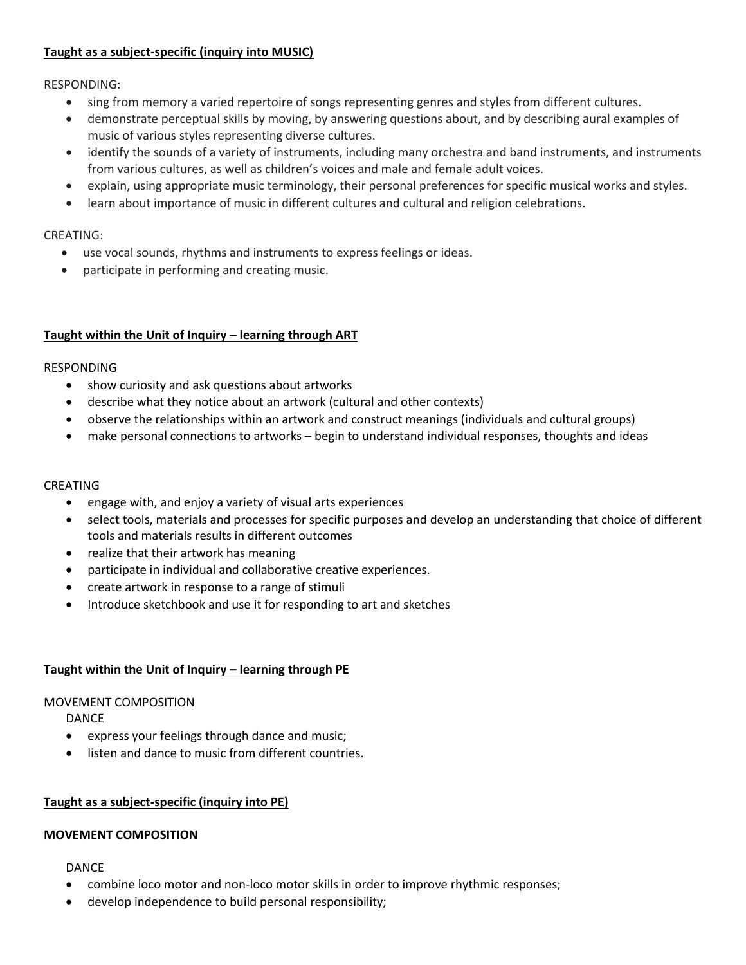# **Taught as a subject-specific (inquiry into MUSIC)**

RESPONDING:

- sing from memory a varied repertoire of songs representing genres and styles from different cultures.
- demonstrate perceptual skills by moving, by answering questions about, and by describing aural examples of music of various styles representing diverse cultures.
- identify the sounds of a variety of instruments, including many orchestra and band instruments, and instruments from various cultures, as well as children's voices and male and female adult voices.
- explain, using appropriate music terminology, their personal preferences for specific musical works and styles.
- learn about importance of music in different cultures and cultural and religion celebrations.

# CREATING:

- use vocal sounds, rhythms and instruments to express feelings or ideas.
- participate in performing and creating music.

# **Taught within the Unit of Inquiry – learning through ART**

#### RESPONDING

- show curiosity and ask questions about artworks
- describe what they notice about an artwork (cultural and other contexts)
- observe the relationships within an artwork and construct meanings (individuals and cultural groups)
- make personal connections to artworks begin to understand individual responses, thoughts and ideas

# CREATING

- engage with, and enjoy a variety of visual arts experiences
- select tools, materials and processes for specific purposes and develop an understanding that choice of different tools and materials results in different outcomes
- realize that their artwork has meaning
- participate in individual and collaborative creative experiences.
- create artwork in response to a range of stimuli
- Introduce sketchbook and use it for responding to art and sketches

# **Taught within the Unit of Inquiry – learning through PE**

# MOVEMENT COMPOSITION

DANCE

- express your feelings through dance and music;
- listen and dance to music from different countries.

# **Taught as a subject-specific (inquiry into PE)**

# **MOVEMENT COMPOSITION**

# DANCE

- combine loco motor and non-loco motor skills in order to improve rhythmic responses;
- develop independence to build personal responsibility;